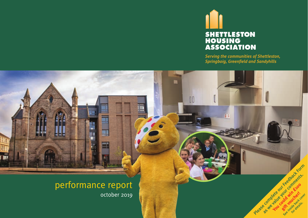

U

*Serving the communities of Shettleston, Springboig, Greenfield and Sandyhills*



H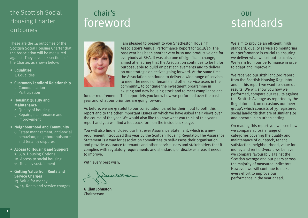### the Scottish Social Housing Charter outcomes

These are the 14 outcomes of the Scottish Social Housing Charter that the Association will be measured against. They cover six sections of the Charter, as shown below:

- **Equalities** 1. Equalities
- **Customer/Landlord Relationship**
	- 2. Communication
	- 3. Participation

#### **• Housing Quality and Maintenance**

- 4. Quality of housing
- 5. Repairs, maintenance and improvement
- **Neighbourhood and Community** 6. Estate management, anti-social behaviour, neighbour nuisance and tenancy disputes
- **Access to Housing and Support** 7, 8, 9. Housing Options 10. Access to social housing 11. Tenancy sustainment
- **Getting Value from Rents and Service Charges**
	- 13. Value for money 14, 15. Rents and service charges

# chair's foreword



I am pleased to present to you Shettleston Housing Association's Annual Performance Report for 2018/19. The past year has been another very busy and productive one for everybody at SHA. It was also one of significant change, aimed at ensuring that the Association continues to be fit for purpose, able to build on past achievements and to deliver on our strategic objectives going forward. At the same time, the Association continued to deliver a wide range of services to meet the needs of tenants and other service users in the community, to continue the investment programme in

existing and new housing stock and to meet compliance and

funder requirements. This report lets you know how we performed over the past year and what our priorities are going forward.

As before, we are grateful to our consultation panel for their input to both this report and to the other important issues on which we have asked their views over the course of the year. We would also like to know what you think of this year's report and you will find a feedback form on the inside back page.

You will also find enclosed our first ever Assurance Statement, which is a new requirement introduced this year by the Scottish Housing Regulator. The Assurance Statement is a way for association committees to self-assess their organisation and provide assurance to tenants and other service users and stakeholders that it complies with regulatory requirements and standards, or discloses areas it needs to improve.

With every best wish,

**Gillian Johnston**  Chairperson

### our standards

We aim to provide an efficient, high standard, quality service so monitoring our performance is crucial to ensuring we deliver what we set out to achieve. We learn from our performance in order to adapt and improve it.

We received our sixth landlord report from the Scottish Housing Regulator and in this report we want to share our results. We will show you how we performed, compare our results against the Scottish Average as reported by the Regulator and, on occasions our 'peer group', which consists of 39 registered social landlords that are of similar size and operate in an urban setting.

On reading this report you will see how we compare across a range of categories covering the quality and maintenance of our stock, tenant satisfaction, neighbourhood, value for money and rents. Overall, we believe we compare favourably against the Scottish average and our peers across the majority of measured indicators. However, we will continue to make every effort to improve our performance in the year ahead.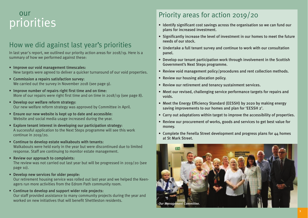# our<br>priorities

### How we did against last year's priorities

In last year's report, we outlined our priority action areas for 2018/19. Here is a summary of how we performed against these:

- Improve our void management timescales: New targets were agreed to deliver a quicker turnaround of our void properties.
- Commission a repairs satisfaction survey: We carried out the survey in November 2018 (see page 9).
- Improve number of repairs right first time and on time: More of our repairs were right first time and on time in 2018/19 (see page 8).
- Develop our welfare reform strategy: Our new welfare reform strategy was approved by Committee in April.
- Ensure our new website is kept up to date and accessible: Website and social media usage increased during the year.
- Explore tenant interest in developing our participation strategy: A successful application to the Next Steps programme will see this work continue in 2019/20.
- Continue to develop estate walkabouts with tenants: Walkabouts were held early in the year but were discontinued due to limited response. Staff are continuing to monitor estate management.
- Review our approach to complaints:

The review was not carried out last year but will be progressed in 2019/20 (see page 10).

• Develop new services for older people:

Our retirement housing service was rolled out last year and we helped the Keenagers run more activities from the Edrom Path community room.

• Continue to develop and support wider role projects: Our staff provided assistance to many community projects during the year and worked on new initiatives that will benefit Shettleston residents.

### Priority areas for action 2019/20

- Identify significant cost savings across the organisation so we can fund our plans for increased investment.
- Significantly increase the level of investment in our homes to meet the future needs of our stock.
- Undertake a full tenant survey and continue to work with our consultation panel.
- Develop our tenant participation work through involvement in the Scottish Government's Next Steps programme.
- Review void management policy/procedures and rent collection methods.
- Review our housing allocation policy.
- Review our retirement and tenancy sustainment services.
- Meet our revised, challenging service performance targets for repairs and voids.
- Meet the Energy Efficiency Standard (EESSH) by 2020 by making energy saving improvements to our homes and plan for 'EESSH 2'.
- Carry out adaptations within target to improve the accessibility of properties.
- Review our procurement of works, goods and services to get best value for money.
- Complete the Fenella Street development and progress plans for 44 homes at St Mark Street.

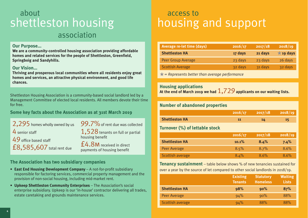## about shettleston housing association

#### **Our Purpose...**

**We are a community-controlled housing association providing affordable homes and related services for the people of Shettleston, Greenfield, Springboig and Sandyhills.** 

#### **Our Vision...**

**Thriving and prosperous local communities where all residents enjoy great homes and services, an attractive physical environment, and good life chances.**

Shettleston Housing Association is a community-based social landlord led by a Management Committee of elected local residents. All members devote their time for free.

#### **Some key facts about the Association as at 31st March 2019**

2,295 homes wholly owned by us  $4$  senior staff 49 office based staff £8,585,607 total rent due

 $99.7\%$  of rent due was collected

1,528 tenants on full or partial housing benefit

£4.8M received in direct payments of housing benefit

#### **The Association has two subsidiary companies**

- **East End Housing Development Company**  A not-for-profit subsidiary responsible for factoring services, commercial property management and the provision of non-social housing, including mid-market rent.
- **Upkeep Shettleston Community Enterprises**  The Association's social enterprise subsidiary. Upkeep is our 'in-house' contractor delivering all trades, estate caretaking and grounds maintenance services.

# access to housing and support

| Average re-let time (days)                                                                                      | 2016/17 | 2017/18 | 2018/19            |
|-----------------------------------------------------------------------------------------------------------------|---------|---------|--------------------|
| <b>Shettleston HA</b>                                                                                           | 17 days | 21 days | $\bigstar$ 19 days |
| <b>Peer Group Average</b>                                                                                       | 23 days | 23 days | 26 days            |
| <b>Scottish Average</b>                                                                                         | 32 days | 31 days | 32 days            |
| the contract of the contract of the contract of the contract of the contract of the contract of the contract of |         |         |                    |

★*= Represents better than average performance*

#### **Housing applications**

**At the end of March 2019 we had** 1,729 **applicants on our waiting lists.**

#### **Number of abandoned properties**

|                                | 2016/17 | 2017/18 | 2018/19 |
|--------------------------------|---------|---------|---------|
| <b>Shettleston HA</b>          | 11      | 14      | 15      |
| Turnover (%) of lettable stock |         |         |         |
|                                | 2016/17 | 2017/18 | 2018/19 |

|                       | ________ | .    | _______ |
|-----------------------|----------|------|---------|
| <b>Shettleston HA</b> | $10.1\%$ | 8.4% | 7.4%    |
| Peer Average          | 8.5%     | 8.7% | 8.6%    |
| Scottish average      | 8.4%     | 8.6% | 8.6%    |

**Tenancy sustainment** – table below shows % of new tenancies sustained for over a year by the source of let compared to other social landlords in 2018/19.

|                       | <b>Existing</b><br><b>Tenants</b> | <b>Statutory</b><br><b>Homeless</b> | <b>Waiting</b><br><b>Lists</b> |
|-----------------------|-----------------------------------|-------------------------------------|--------------------------------|
| <b>Shettleston HA</b> | 98%                               | 90%                                 | 87%                            |
| Peer Average          | 94%                               | 90%                                 | 88%                            |
| Scottish average      | 94%                               | 88%                                 | 88%                            |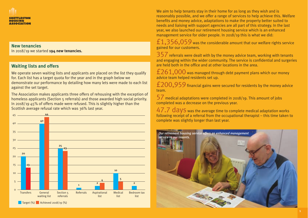

#### **New tenancies**

In 2018/19 we started **194 new tenancies.**

#### **Waiting lists and offers**

We operate seven waiting lists and applicants are placed on the list they qualify for. Each list has a target quota for the year and in the graph below we demonstrate our performance by detailing how many lets were made to each list against the set target.

The Association makes applicants three offers of rehousing with the exception of homeless applicants (Section 5 referrals) and those awarded high social priority. In 2018/19 45% of offers made were refused. This is slightly higher than the Scottish average refusal rate which was 36% last year.



We aim to help tenants stay in their home for as long as they wish and is reasonably possible, and we offer a range of services to help achieve this. Welfare benefits and money advice, adaptations to make the property better suited to needs and liaising with support agencies are all part of this strategy. In the last year, we also launched our retirement housing service which is an enhanced management service for older people. In 2018/19 this is what we did:

 $f1,356,059$  was the considerable amount that our welfare rights service gained for our customers.

357 referrals were dealt with by the money advice team, working with tenants and engaging within the wider community. The service is confidential and surgeries are held both in the office and at other locations in the area.

 $\text{\rm £261,000}$  was managed through debt payment plans which our money advice team helped residents set up.

£200,959 financial gains were secured for residents by the money advice team.

57 medical adaptations were completed in 2018/19. This amount of jobs completed was a decrease on the previous year.

47.7 days was the average time to complete medical adaptation works following receipt of a referral from the occupational therapist – this time taken to complete was slightly longer than last year.

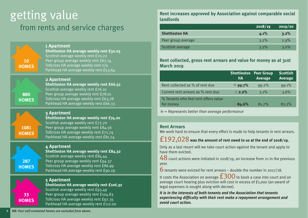# getting value from rents and service charges

|                    | 2 Apartment<br>Shettleston HA average weekly rent £66.52                                                                                                       |
|--------------------|----------------------------------------------------------------------------------------------------------------------------------------------------------------|
| 10<br><b>HOMES</b> | Scottish average weekly rent £70.22<br>Peer group average weekly rent £67.14<br>Tollcross HA average weekly rent n/a<br>Parkhead HA average weekly rent £53.64 |
|                    | 1 Apartment<br>Shettleston HA average weekly rent £32.03                                                                                                       |

**880 HOMES**

**1081 HOMES**

#### Scottish average weekly rent £76.10 Peer group average weekly rent £78.01 Tollcross HA average weekly rent £63.78 Parkhead HA average weekly rent £66.33 **3 Apartment Shettleston HA average weekly rent £74.20** Scottish average weekly rent £77.70 Peer group average weekly rent £84.56

Tollcross HA average weekly rent £71.74 Parkhead HA average weekly rent £81.74

### **287 HOMES**

#### **4 Apartment Shettleston HA average weekly rent £84.32** Scottish average weekly rent £84.44 Peer group average weekly rent £94.37 Tollcross HA average weekly rent £86.99 Parkhead HA average weekly rent £90.29

# **33 HOMES**

#### **5 Apartment Shettleston HA average weekly rent £106.32** Scottish average weekly rent £93.49 Peer group average weekly rent £104.83 Tollcross HA average weekly rent £97.35 Parkhead HA average weekly rent £112.00

**Rent increases approved by Association against comparable social landlords**

|                       | 2018/19 | 2019/20 |
|-----------------------|---------|---------|
| <b>Shettleston HA</b> | 4.1%    | 3.2%    |
| Peer group average    | 3.2%    | 2.9%    |
| Scottish average      | $3.2\%$ | 3.0%    |

#### **Rent collected, gross rent arrears and value for money as at 31st March 2019**

| HA       | <b>Shettleston Peer Group</b><br>Average | <b>Scottish</b><br><b>Average</b> |
|----------|------------------------------------------|-----------------------------------|
| $99.7\%$ | 99.2%                                    | 99.1%                             |
| $2.2\%$  | 3.1%                                     | 3.6%                              |
| 84.6%    | 81.7%                                    | 83.2%                             |
|          |                                          |                                   |

★*= Represents better than average performance*

#### **Rent Arrears**

We work hard to ensure that every effort is made to help tenants in rent arrears.

#### £192,028 **was the amount of rent owed to us at the end of 2018/19.**

Only as a last resort will we take court action against the tenant and apply to have them evicted.

48 court actions were initiated in 2018/19, an increase from 21 in the previous year.

 $6$  tenants were evicted for rent arrears – double the number in 2017/18.

It costs the Association on average  $\pm 300$  to book a case into court and an average court hearing plus eviction will cost in excess of £1,000 (an award of legal expenses is sought along with decree).

*It is in the interests of both tenants and the Association that tenants experiencing difficulty with their rent make a repayment arrangement and avoid court action.*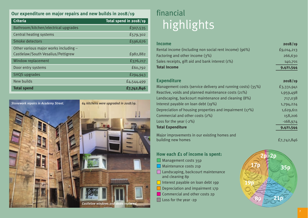#### **Our expenditure on major repairs and new builds in 2018/19**

| <b>Criteria</b>                       | Total spend in 2018/19 |
|---------------------------------------|------------------------|
| Bathroom/kitchen/electrical upgrades  | £307,535               |
| <b>Central heating systems</b>        | £579,302               |
| Smoke detectors                       | £596,676               |
| Other various major works including - |                        |
| Castlelaw/South Vesalius/Pettigrew    | £982,882               |
| Window replacement                    | £376,217               |
| Door entry systems                    | £60,792                |
| <b>SHQS</b> upgrades                  | £294,943               |
| New builds                            | £4,544,499             |
| <b>Total spend</b>                    | £7,742,846             |



# financial highlights

| <b>Income</b>                                                 | 2018/19    |
|---------------------------------------------------------------|------------|
| Rental income (including non social rent income) (96%)        | £9,014,213 |
| Factoring and other income $(3%)$                             | 266,630    |
| Sales receipts, gift aid and bank interest (1%)               | 140,701    |
| <b>Total Income</b>                                           | 9,421,544  |
| <b>Expenditure</b>                                            | 2018/19    |
| Management costs (service delivery and running costs) $(35%)$ | £3,331,941 |
| Reactive, voids and planned maintenance costs (21%)           | 1,959,498  |
| Landscaping, backcourt maintenance and cleaning (8%)          | 717,038    |
| Interest payable on loan debt (19%)                           | 1,794,224  |
| Depreciation of housing properties and impairment (17%)       | 1,629,611  |
| Commercial and other costs (2%)                               | 158,206    |
| Loss for the year $(-2%)$                                     | $-168,974$ |
| <b>Total Expenditure</b>                                      | 9,421,544  |
| Major improvements in our existing homes and                  |            |
| building new homes                                            | £7,742,846 |

**How each £1 of income is spent:**

- **Management costs 35p**
- **Maintenance costs 21p**
- □ Landscaping, backcourt maintenance and cleaning 8p
- Interest payable on loan debt 19p
- $\Box$  Depreciation and impairment 17p
- Commercial and other costs 2p
- **Loss for the year -2p**

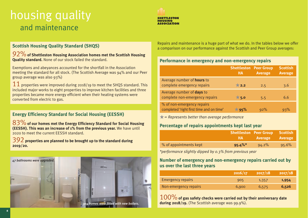# housing quality and maintenance



#### **Scottish Housing Quality Standard (SHQS)**

92%**of Shettleston Housing Association homes met the Scottish Housing Quality standard.** None of our stock failed the standard.

Exemptions and abeyances accounted for the shortfall in the Association meeting the standard for all stock. (The Scottish Average was 94% and our Peer group average was also 93%)

 $11$  properties were improved during 2018/19 to meet the SHQS standard. This included major works to eight properties to improve kitchen facilities and three properties became more energy efficient when their heating systems were converted from electric to gas.

#### **Energy Efficiency Standard for Social Housing (EESSH)**

83%**of our homes met the Energy Efficiency Standard for Social Housing (EESSH). This was an increase of 1% from the previous year.** We have until 2020 to meet the current EESSH standard.

392 **properties are planned to be brought up to the standard during 2019/20.**



Repairs and maintenance is a huge part of what we do. In the tables below we offer a comparison on our performance against the Scottish and Peer Group averages:

#### **Performance in emergency and non-emergency repairs**

|                                                                        | <b>Shettleston Peer Group</b><br><b>HA</b> | <b>Average</b> | <b>Scottish</b><br><b>Average</b> |
|------------------------------------------------------------------------|--------------------------------------------|----------------|-----------------------------------|
| Average number of <b>hours</b> to<br>complete emergency repairs        | 2.2                                        | 2.5            | 3.6                               |
| Average number of <b>days</b> to<br>complete non-emergency repairs     | $\bigstar$ 5.0                             | 5.5            | 6.6                               |
| % of non-emergency repairs<br>completed 'right first time and on time' | $\star$ 95%                                | 92%            | 93%                               |

★*= Represents better than average performance*

#### **Percentage of repairs appointments kept last year**

|                        | /HA /      | <b>Shettleston Peer Group Scottish</b><br>Average | <b>Average</b> |
|------------------------|------------|---------------------------------------------------|----------------|
| % of appointments kept | $95.4\%$ * | $94.2\%$                                          | 95.6%          |

*\*performance slightly dipped by 0.3% from previous year*

#### **Number of emergency and non-emergency repairs carried out by us over the last three years**

|                          | 2016/17 | 2017/18 | 2017/18 |
|--------------------------|---------|---------|---------|
| <b>Emergency repairs</b> | 905     | 1,357   | 1,954   |
| Non-emergency repairs    | 6,900   | 6,575   | 6,526   |

100%**of gas safety checks were carried out by their anniversary date during 2018/19.** (The Scottish average was 99.9%).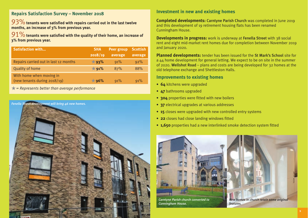#### **Repairs Satisfaction Survey – November 2018**

93% tenants were satisfied with repairs carried out in the last twelve **months, an increase of 3% from previous year.**

91%**tenants were satisfied with the quality of their home, an increase of 3% from previous year.**

| <b>Satisfaction with</b>                                    | <b>SHA</b>     | <b>Peer group</b> | <b>Scottish</b> |
|-------------------------------------------------------------|----------------|-------------------|-----------------|
|                                                             | 2018/19        | average           | average         |
| Repairs carried out in last 12 months                       | $\star$ 93%    | 91%               | 92%             |
| <b>Quality of home</b>                                      | $\bigstar$ 91% | 87%               | 88%             |
| With home when moving in<br>(new tenants during $2018/19$ ) | $\star$ 96%    | 91%               | 91%             |

★*= Represents better than average performance*

*Fenella Street development will bring 46 new homes.*



#### **Investment in new and existing homes**

**Completed developments:** Carntyne Parish Church was completed in June 2019 and this development of 19 retirement housing flats has been renamed Cunningham House.

**Developments in progress:** work is underway at Fenella Street with 38 social rent and eight mid-market rent homes due for completion between November 2019 and January 2020.

**Planned developments:** tender has been issued for the St Mark's School site for a 44 home development for general letting. We expect to be on site in the summer of 2020. Wellshot Road – plans and costs are being developed for 32 homes at the old telephone exchange and Shettleston Halls.

#### **Improvements to existing homes**

- **64** kitchens were upgraded
- **47** bathrooms upgraded
- **304** properties were fitted with new boilers
- **37** electrical upgrades at various addresses
- **15** closes were upgraded with new controlled entry systems
- **22** closes had close landing windows fitted
- **1,650** properties had a new interlinked smoke detection system fitted

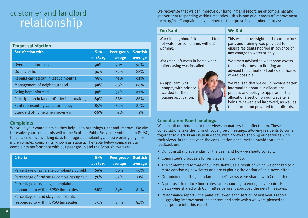# customer and landlord relationship

| <b>Tenant satisfaction</b>                  |            |                   |                 |
|---------------------------------------------|------------|-------------------|-----------------|
| <b>Satisfaction with</b>                    | <b>SHA</b> | <b>Peer group</b> | <b>Scottish</b> |
|                                             | 2018/19    | average           | average         |
| <b>Overall landlord service</b>             | 90%        | 90%               | 90%             |
| <b>Quality of home</b>                      | 91%        | 87%               | 88%             |
| Repairs carried out in last 12 months       | 93%        | 91%               | 92%             |
| Management of neighbourhood                 | 90%        | 86%               | 88%             |
| Being kept informed                         | 95%        | 93%               | 92%             |
| Participation in landlord's decision-making | 89%        | 88%               | 86%             |
| Rent representing value for money           | 85%        | 82%               | 83%             |
| Standard of home when moving in             | 96%        | 91%               | 91%             |

#### **Complaints**

We value your complaints as they help us to put things right and improve. We aim to resolve your complaints within the Scottish Public Services Ombudsman (SPSO) timescales of five working days for stage 1 complaints, and 20 working days for more complex complaints, known as stage 2. The table below compares our complaints performance with our peer group and the Scottish average:

| <b>Criteria</b>                                                           | <b>SHA</b><br>2018/19 | <b>Peer group</b><br>average | <b>Scottish</b><br>average |
|---------------------------------------------------------------------------|-----------------------|------------------------------|----------------------------|
| Percentage of 1st stage complaints upheld                                 | 60%                   | 60%                          | 56%                        |
| Percentage of 2nd stage complaints upheld                                 | 75%                   | 63%                          | 51%                        |
| Percentage of 1st stage complaints<br>responded to within SPSO timescales | 68%                   | 89%                          | 87%                        |
| Percentage of 2nd stage complaints<br>responded to within SPSO timescales | 75%                   | 87%                          | 84%                        |

We recognise that we can improve our handling and recording of complaints and get better at responding within timescales – this is one of our areas of improvement for 2019/20. Complaints have helped us to improve in a number of areas:

| <b>You Said</b>                                                                        | <b>We Did</b>                                                                                                                                                                                                                                         |
|----------------------------------------------------------------------------------------|-------------------------------------------------------------------------------------------------------------------------------------------------------------------------------------------------------------------------------------------------------|
| Work in neighbour's kitchen led to no<br>hot water for some time, without<br>warning.  | This was an oversight on the contractor's<br>part, and training was provided to<br>ensure residents notified in advance of<br>any change to water supply.                                                                                             |
| Workmen left mess in home when<br>boiler casing was installed.                         | Workmen advised to wear shoe covers<br>to minimise mess to flooring and also<br>advised to cut material outside of home,<br>where possible.                                                                                                           |
| An applicant was<br>unhappy with priority<br>awarded for their<br>housing application. | We realised that we could provide better<br>information about our allocations<br>process and policy to applicants. The<br>allocations section on our website is<br>being reviewed and improved, as well as<br>the information provided to applicants. |

#### **Consultation Panel meetings**

We consult our tenants for their views on matters that affect them. These consultations take the form of focus group meetings, allowing residents to come together to discuss an issue in depth, with a view to shaping our services with their views. In the last year, the consultation panel met to provide valuable feedback on:

- Our consultation calendar for the year, and how we should consult.
- Committee's proposals for rent levels in 2019/20.
- The content and format of our newsletter, as a result of which we changed to a more concise A4 newsletter and are exploring the option of an e-newsletter.
- Our minimum letting standard panel's views were shared with Committee.
- A proposal to reduce timescales for responding to emergency repairs. Panel's views were shared with Committee before it approved the new timescales.
- Performance report the panel reviewed each section of last year's report, suggesting improvements to content and style which we were pleased to incorporate into this report.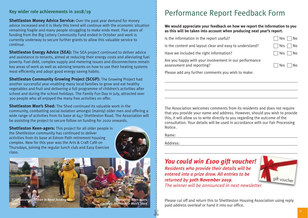#### **Key wider role achievements in 2018/19**

**Shettleston Money Advice Service:** Over the past year demand for money advice increased and it is likely this trend will continue with the economic situation remaining fragile and many people struggling to make ends meet. Five years of funding from the Big Lottery Community Fund ended in October and work is currently underway to secure further grants to allow this valuable service to continue.

**Shettleston Energy Advice (SEA):** The SEA project continued to deliver advice and assistance to tenants, aimed at reducing their energy costs and alleviating fuel poverty. Fuel debt, complex supply and metering issues and disconnections remain key areas of work as well as advising tenants on how to use their heating systems most efficiently and adopt good energy saving habits.

**Shettleston Community Growing Project (SCGP):** The Growing Project had another successful year enabling many local families to grow and eat healthy vegetables and fruit and delivering a full programme of children's activities after school and during the school holidays. The Family Fun Day in July, attracted over 300 people who all enjoyed the many free activities on offer.

**Shettleston Men's Shed:** The Shed continued its valuable work in the community, combatting social isolation amongst (mainly) older men and offering a wide range of activities from its base at 647 Shettleston Road. The Association will be assisting the project to secure follow on funding for 2020 onwards.

**Shettleston Keen-agers:** This project for all older people in the Shettleston community has continued to deliver activities from its base at Edrom Path retirement housing complex. New for this year was the Arts & Craft Café on Thursdays, joining the regular lunch club and Easy Exercise class.





*Shettleston Keen-agers. mInset: Shettleston Men's Shed.*

### Performance Report Feedback Form

#### **We would appreciate your feedback on how we report the information to you as this will be taken into account when producing next year's report.**

| Is the information in the report useful?                | $\Box$ Yes $\Box$ No |
|---------------------------------------------------------|----------------------|
| Is the content and layout clear and easy to understand? | $\Box$ Yes $\Box$ No |
| Have we included the right information?                 | $\Box$ Yes $\Box$ No |

| 152 |  |
|-----|--|
| Yes |  |

Are you happy with your involvement in our performance assessment and reporting?  $\Box$  Yes  $\Box$  No

Please add any further comments you wish to make:

The Association welcomes comments from its residents and does not require that you provide your name and address. However, should you wish to provide this, it will allow us to write directly to you regarding the outcome of the consultation. Your details will be used in accordance with our Fair Processing Notice.

Name:

Address:

✄

### *You could win £100 gift voucher!*

*Residents who provide their details will be entered into a prize draw. All entries to be returned by 30th November 2019.* 



*The winner will be announced in next newsletter.*

Please cut off and return this to Shettleston Housing Association using reply paid address overleaf or hand it into our office.